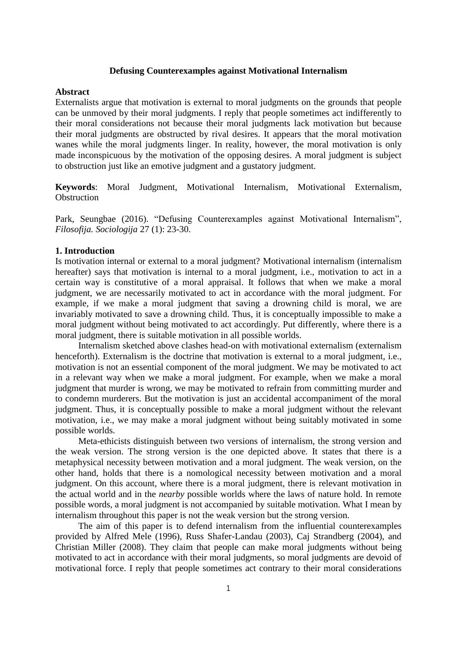### **Defusing Counterexamples against Motivational Internalism**

#### **Abstract**

Externalists argue that motivation is external to moral judgments on the grounds that people can be unmoved by their moral judgments. I reply that people sometimes act indifferently to their moral considerations not because their moral judgments lack motivation but because their moral judgments are obstructed by rival desires. It appears that the moral motivation wanes while the moral judgments linger. In reality, however, the moral motivation is only made inconspicuous by the motivation of the opposing desires. A moral judgment is subject to obstruction just like an emotive judgment and a gustatory judgment.

**Keywords**: Moral Judgment, Motivational Internalism, Motivational Externalism, **Obstruction** 

Park, Seungbae (2016). "Defusing Counterexamples against Motivational Internalism", *Filosofija. Sociologija* 27 (1): 23-30.

# **1. Introduction**

Is motivation internal or external to a moral judgment? Motivational internalism (internalism hereafter) says that motivation is internal to a moral judgment, i.e., motivation to act in a certain way is constitutive of a moral appraisal. It follows that when we make a moral judgment, we are necessarily motivated to act in accordance with the moral judgment. For example, if we make a moral judgment that saving a drowning child is moral, we are invariably motivated to save a drowning child. Thus, it is conceptually impossible to make a moral judgment without being motivated to act accordingly. Put differently, where there is a moral judgment, there is suitable motivation in all possible worlds.

Internalism sketched above clashes head-on with motivational externalism (externalism henceforth). Externalism is the doctrine that motivation is external to a moral judgment, i.e., motivation is not an essential component of the moral judgment. We may be motivated to act in a relevant way when we make a moral judgment. For example, when we make a moral judgment that murder is wrong, we may be motivated to refrain from committing murder and to condemn murderers. But the motivation is just an accidental accompaniment of the moral judgment. Thus, it is conceptually possible to make a moral judgment without the relevant motivation, i.e., we may make a moral judgment without being suitably motivated in some possible worlds.

Meta-ethicists distinguish between two versions of internalism, the strong version and the weak version. The strong version is the one depicted above. It states that there is a metaphysical necessity between motivation and a moral judgment. The weak version, on the other hand, holds that there is a nomological necessity between motivation and a moral judgment. On this account, where there is a moral judgment, there is relevant motivation in the actual world and in the *nearby* possible worlds where the laws of nature hold. In remote possible words, a moral judgment is not accompanied by suitable motivation. What I mean by internalism throughout this paper is not the weak version but the strong version.

The aim of this paper is to defend internalism from the influential counterexamples provided by Alfred Mele (1996), Russ Shafer-Landau (2003), Caj Strandberg (2004), and Christian Miller (2008). They claim that people can make moral judgments without being motivated to act in accordance with their moral judgments, so moral judgments are devoid of motivational force. I reply that people sometimes act contrary to their moral considerations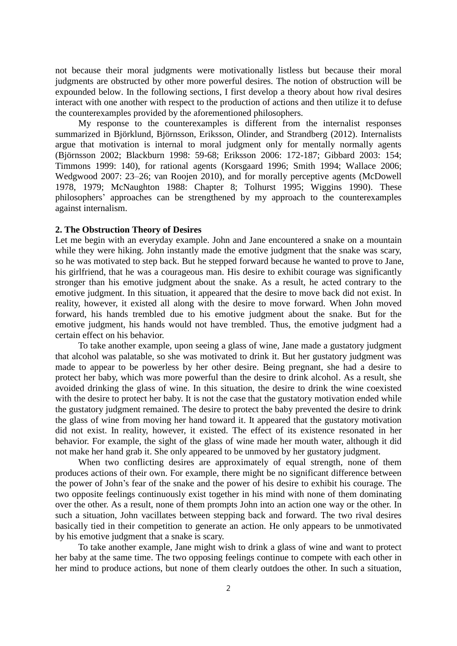not because their moral judgments were motivationally listless but because their moral judgments are obstructed by other more powerful desires. The notion of obstruction will be expounded below. In the following sections, I first develop a theory about how rival desires interact with one another with respect to the production of actions and then utilize it to defuse the counterexamples provided by the aforementioned philosophers.

My response to the counterexamples is different from the internalist responses summarized in Björklund, Björnsson, Eriksson, Olinder, and Strandberg (2012). Internalists argue that motivation is internal to moral judgment only for mentally normally agents (Björnsson 2002; Blackburn 1998: 59-68; Eriksson 2006: 172-187; Gibbard 2003: 154; Timmons 1999: 140), for rational agents (Korsgaard 1996; Smith 1994; Wallace 2006; Wedgwood 2007: 23–26; van Roojen 2010), and for morally perceptive agents (McDowell 1978, 1979; McNaughton 1988: Chapter 8; Tolhurst 1995; Wiggins 1990). These philosophers' approaches can be strengthened by my approach to the counterexamples against internalism.

## **2. The Obstruction Theory of Desires**

Let me begin with an everyday example. John and Jane encountered a snake on a mountain while they were hiking. John instantly made the emotive judgment that the snake was scary, so he was motivated to step back. But he stepped forward because he wanted to prove to Jane, his girlfriend, that he was a courageous man. His desire to exhibit courage was significantly stronger than his emotive judgment about the snake. As a result, he acted contrary to the emotive judgment. In this situation, it appeared that the desire to move back did not exist. In reality, however, it existed all along with the desire to move forward. When John moved forward, his hands trembled due to his emotive judgment about the snake. But for the emotive judgment, his hands would not have trembled. Thus, the emotive judgment had a certain effect on his behavior.

To take another example, upon seeing a glass of wine, Jane made a gustatory judgment that alcohol was palatable, so she was motivated to drink it. But her gustatory judgment was made to appear to be powerless by her other desire. Being pregnant, she had a desire to protect her baby, which was more powerful than the desire to drink alcohol. As a result, she avoided drinking the glass of wine. In this situation, the desire to drink the wine coexisted with the desire to protect her baby. It is not the case that the gustatory motivation ended while the gustatory judgment remained. The desire to protect the baby prevented the desire to drink the glass of wine from moving her hand toward it. It appeared that the gustatory motivation did not exist. In reality, however, it existed. The effect of its existence resonated in her behavior. For example, the sight of the glass of wine made her mouth water, although it did not make her hand grab it. She only appeared to be unmoved by her gustatory judgment.

When two conflicting desires are approximately of equal strength, none of them produces actions of their own. For example, there might be no significant difference between the power of John's fear of the snake and the power of his desire to exhibit his courage. The two opposite feelings continuously exist together in his mind with none of them dominating over the other. As a result, none of them prompts John into an action one way or the other. In such a situation, John vacillates between stepping back and forward. The two rival desires basically tied in their competition to generate an action. He only appears to be unmotivated by his emotive judgment that a snake is scary.

To take another example, Jane might wish to drink a glass of wine and want to protect her baby at the same time. The two opposing feelings continue to compete with each other in her mind to produce actions, but none of them clearly outdoes the other. In such a situation,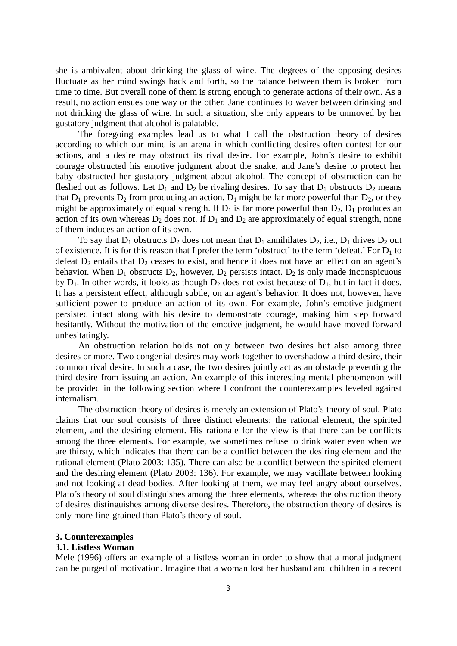she is ambivalent about drinking the glass of wine. The degrees of the opposing desires fluctuate as her mind swings back and forth, so the balance between them is broken from time to time. But overall none of them is strong enough to generate actions of their own. As a result, no action ensues one way or the other. Jane continues to waver between drinking and not drinking the glass of wine. In such a situation, she only appears to be unmoved by her gustatory judgment that alcohol is palatable.

The foregoing examples lead us to what I call the obstruction theory of desires according to which our mind is an arena in which conflicting desires often contest for our actions, and a desire may obstruct its rival desire. For example, John's desire to exhibit courage obstructed his emotive judgment about the snake, and Jane's desire to protect her baby obstructed her gustatory judgment about alcohol. The concept of obstruction can be fleshed out as follows. Let  $D_1$  and  $D_2$  be rivaling desires. To say that  $D_1$  obstructs  $D_2$  means that  $D_1$  prevents  $D_2$  from producing an action.  $D_1$  might be far more powerful than  $D_2$ , or they might be approximately of equal strength. If  $D_1$  is far more powerful than  $D_2$ ,  $D_1$  produces an action of its own whereas  $D_2$  does not. If  $D_1$  and  $D_2$  are approximately of equal strength, none of them induces an action of its own.

To say that  $D_1$  obstructs  $D_2$  does not mean that  $D_1$  annihilates  $D_2$ , i.e.,  $D_1$  drives  $D_2$  out of existence. It is for this reason that I prefer the term 'obstruct' to the term 'defeat.' For  $D_1$  to defeat  $D_2$  entails that  $D_2$  ceases to exist, and hence it does not have an effect on an agent's behavior. When  $D_1$  obstructs  $D_2$ , however,  $D_2$  persists intact.  $D_2$  is only made inconspicuous by  $D_1$ . In other words, it looks as though  $D_2$  does not exist because of  $D_1$ , but in fact it does. It has a persistent effect, although subtle, on an agent's behavior. It does not, however, have sufficient power to produce an action of its own. For example, John's emotive judgment persisted intact along with his desire to demonstrate courage, making him step forward hesitantly. Without the motivation of the emotive judgment, he would have moved forward unhesitatingly.

An obstruction relation holds not only between two desires but also among three desires or more. Two congenial desires may work together to overshadow a third desire, their common rival desire. In such a case, the two desires jointly act as an obstacle preventing the third desire from issuing an action. An example of this interesting mental phenomenon will be provided in the following section where I confront the counterexamples leveled against internalism.

The obstruction theory of desires is merely an extension of Plato's theory of soul. Plato claims that our soul consists of three distinct elements: the rational element, the spirited element, and the desiring element. His rationale for the view is that there can be conflicts among the three elements. For example, we sometimes refuse to drink water even when we are thirsty, which indicates that there can be a conflict between the desiring element and the rational element (Plato 2003: 135). There can also be a conflict between the spirited element and the desiring element (Plato 2003: 136). For example, we may vacillate between looking and not looking at dead bodies. After looking at them, we may feel angry about ourselves. Plato's theory of soul distinguishes among the three elements, whereas the obstruction theory of desires distinguishes among diverse desires. Therefore, the obstruction theory of desires is only more fine-grained than Plato's theory of soul.

#### **3. Counterexamples**

### **3.1. Listless Woman**

Mele (1996) offers an example of a listless woman in order to show that a moral judgment can be purged of motivation. Imagine that a woman lost her husband and children in a recent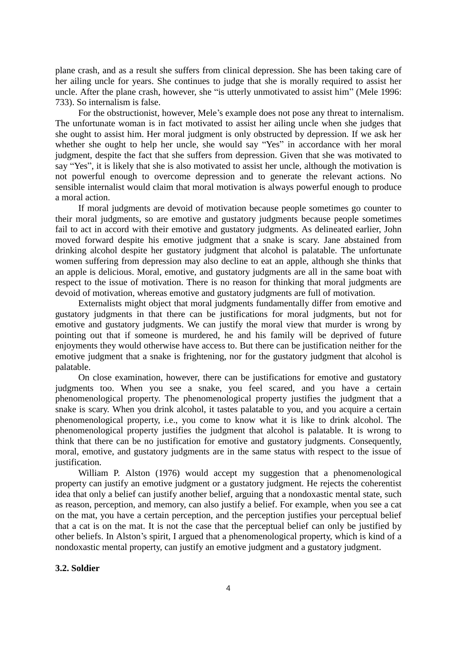plane crash, and as a result she suffers from clinical depression. She has been taking care of her ailing uncle for years. She continues to judge that she is morally required to assist her uncle. After the plane crash, however, she "is utterly unmotivated to assist him" (Mele 1996: 733). So internalism is false.

 For the obstructionist, however, Mele's example does not pose any threat to internalism. The unfortunate woman is in fact motivated to assist her ailing uncle when she judges that she ought to assist him. Her moral judgment is only obstructed by depression. If we ask her whether she ought to help her uncle, she would say "Yes" in accordance with her moral judgment, despite the fact that she suffers from depression. Given that she was motivated to say "Yes", it is likely that she is also motivated to assist her uncle, although the motivation is not powerful enough to overcome depression and to generate the relevant actions. No sensible internalist would claim that moral motivation is always powerful enough to produce a moral action.

If moral judgments are devoid of motivation because people sometimes go counter to their moral judgments, so are emotive and gustatory judgments because people sometimes fail to act in accord with their emotive and gustatory judgments. As delineated earlier, John moved forward despite his emotive judgment that a snake is scary. Jane abstained from drinking alcohol despite her gustatory judgment that alcohol is palatable. The unfortunate women suffering from depression may also decline to eat an apple, although she thinks that an apple is delicious. Moral, emotive, and gustatory judgments are all in the same boat with respect to the issue of motivation. There is no reason for thinking that moral judgments are devoid of motivation, whereas emotive and gustatory judgments are full of motivation.

 Externalists might object that moral judgments fundamentally differ from emotive and gustatory judgments in that there can be justifications for moral judgments, but not for emotive and gustatory judgments. We can justify the moral view that murder is wrong by pointing out that if someone is murdered, he and his family will be deprived of future enjoyments they would otherwise have access to. But there can be justification neither for the emotive judgment that a snake is frightening, nor for the gustatory judgment that alcohol is palatable.

On close examination, however, there can be justifications for emotive and gustatory judgments too. When you see a snake, you feel scared, and you have a certain phenomenological property. The phenomenological property justifies the judgment that a snake is scary. When you drink alcohol, it tastes palatable to you, and you acquire a certain phenomenological property, i.e., you come to know what it is like to drink alcohol. The phenomenological property justifies the judgment that alcohol is palatable. It is wrong to think that there can be no justification for emotive and gustatory judgments. Consequently, moral, emotive, and gustatory judgments are in the same status with respect to the issue of justification.

William P. Alston (1976) would accept my suggestion that a phenomenological property can justify an emotive judgment or a gustatory judgment. He rejects the coherentist idea that only a belief can justify another belief, arguing that a nondoxastic mental state, such as reason, perception, and memory, can also justify a belief. For example, when you see a cat on the mat, you have a certain perception, and the perception justifies your perceptual belief that a cat is on the mat. It is not the case that the perceptual belief can only be justified by other beliefs. In Alston's spirit, I argued that a phenomenological property, which is kind of a nondoxastic mental property, can justify an emotive judgment and a gustatory judgment.

## **3.2. Soldier**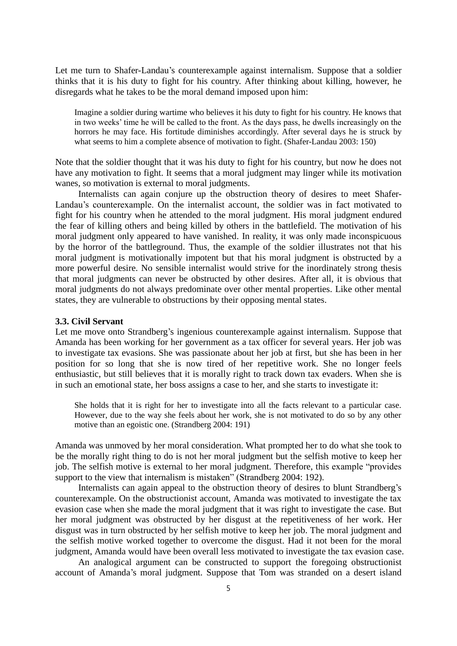Let me turn to Shafer-Landau's counterexample against internalism. Suppose that a soldier thinks that it is his duty to fight for his country. After thinking about killing, however, he disregards what he takes to be the moral demand imposed upon him:

Imagine a soldier during wartime who believes it his duty to fight for his country. He knows that in two weeks' time he will be called to the front. As the days pass, he dwells increasingly on the horrors he may face. His fortitude diminishes accordingly. After several days he is struck by what seems to him a complete absence of motivation to fight. (Shafer-Landau 2003: 150)

Note that the soldier thought that it was his duty to fight for his country, but now he does not have any motivation to fight. It seems that a moral judgment may linger while its motivation wanes, so motivation is external to moral judgments.

Internalists can again conjure up the obstruction theory of desires to meet Shafer-Landau's counterexample. On the internalist account, the soldier was in fact motivated to fight for his country when he attended to the moral judgment. His moral judgment endured the fear of killing others and being killed by others in the battlefield. The motivation of his moral judgment only appeared to have vanished. In reality, it was only made inconspicuous by the horror of the battleground. Thus, the example of the soldier illustrates not that his moral judgment is motivationally impotent but that his moral judgment is obstructed by a more powerful desire. No sensible internalist would strive for the inordinately strong thesis that moral judgments can never be obstructed by other desires. After all, it is obvious that moral judgments do not always predominate over other mental properties. Like other mental states, they are vulnerable to obstructions by their opposing mental states.

#### **3.3. Civil Servant**

Let me move onto Strandberg's ingenious counterexample against internalism. Suppose that Amanda has been working for her government as a tax officer for several years. Her job was to investigate tax evasions. She was passionate about her job at first, but she has been in her position for so long that she is now tired of her repetitive work. She no longer feels enthusiastic, but still believes that it is morally right to track down tax evaders. When she is in such an emotional state, her boss assigns a case to her, and she starts to investigate it:

She holds that it is right for her to investigate into all the facts relevant to a particular case. However, due to the way she feels about her work, she is not motivated to do so by any other motive than an egoistic one. (Strandberg 2004: 191)

Amanda was unmoved by her moral consideration. What prompted her to do what she took to be the morally right thing to do is not her moral judgment but the selfish motive to keep her job. The selfish motive is external to her moral judgment. Therefore, this example "provides support to the view that internalism is mistaken" (Strandberg 2004: 192).

Internalists can again appeal to the obstruction theory of desires to blunt Strandberg's counterexample. On the obstructionist account, Amanda was motivated to investigate the tax evasion case when she made the moral judgment that it was right to investigate the case. But her moral judgment was obstructed by her disgust at the repetitiveness of her work. Her disgust was in turn obstructed by her selfish motive to keep her job. The moral judgment and the selfish motive worked together to overcome the disgust. Had it not been for the moral judgment, Amanda would have been overall less motivated to investigate the tax evasion case.

An analogical argument can be constructed to support the foregoing obstructionist account of Amanda's moral judgment. Suppose that Tom was stranded on a desert island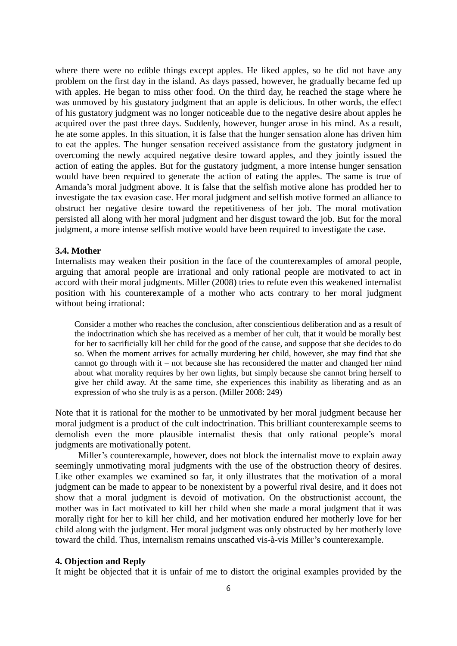where there were no edible things except apples. He liked apples, so he did not have any problem on the first day in the island. As days passed, however, he gradually became fed up with apples. He began to miss other food. On the third day, he reached the stage where he was unmoved by his gustatory judgment that an apple is delicious. In other words, the effect of his gustatory judgment was no longer noticeable due to the negative desire about apples he acquired over the past three days. Suddenly, however, hunger arose in his mind. As a result, he ate some apples. In this situation, it is false that the hunger sensation alone has driven him to eat the apples. The hunger sensation received assistance from the gustatory judgment in overcoming the newly acquired negative desire toward apples, and they jointly issued the action of eating the apples. But for the gustatory judgment, a more intense hunger sensation would have been required to generate the action of eating the apples. The same is true of Amanda's moral judgment above. It is false that the selfish motive alone has prodded her to investigate the tax evasion case. Her moral judgment and selfish motive formed an alliance to obstruct her negative desire toward the repetitiveness of her job. The moral motivation persisted all along with her moral judgment and her disgust toward the job. But for the moral judgment, a more intense selfish motive would have been required to investigate the case.

# **3.4. Mother**

Internalists may weaken their position in the face of the counterexamples of amoral people, arguing that amoral people are irrational and only rational people are motivated to act in accord with their moral judgments. Miller (2008) tries to refute even this weakened internalist position with his counterexample of a mother who acts contrary to her moral judgment without being irrational:

Consider a mother who reaches the conclusion, after conscientious deliberation and as a result of the indoctrination which she has received as a member of her cult, that it would be morally best for her to sacrificially kill her child for the good of the cause, and suppose that she decides to do so. When the moment arrives for actually murdering her child, however, she may find that she cannot go through with it – not because she has reconsidered the matter and changed her mind about what morality requires by her own lights, but simply because she cannot bring herself to give her child away. At the same time, she experiences this inability as liberating and as an expression of who she truly is as a person. (Miller 2008: 249)

Note that it is rational for the mother to be unmotivated by her moral judgment because her moral judgment is a product of the cult indoctrination. This brilliant counterexample seems to demolish even the more plausible internalist thesis that only rational people's moral judgments are motivationally potent.

Miller's counterexample, however, does not block the internalist move to explain away seemingly unmotivating moral judgments with the use of the obstruction theory of desires. Like other examples we examined so far, it only illustrates that the motivation of a moral judgment can be made to appear to be nonexistent by a powerful rival desire, and it does not show that a moral judgment is devoid of motivation. On the obstructionist account, the mother was in fact motivated to kill her child when she made a moral judgment that it was morally right for her to kill her child, and her motivation endured her motherly love for her child along with the judgment. Her moral judgment was only obstructed by her motherly love toward the child. Thus, internalism remains unscathed vis-à-vis Miller's counterexample.

#### **4. Objection and Reply**

It might be objected that it is unfair of me to distort the original examples provided by the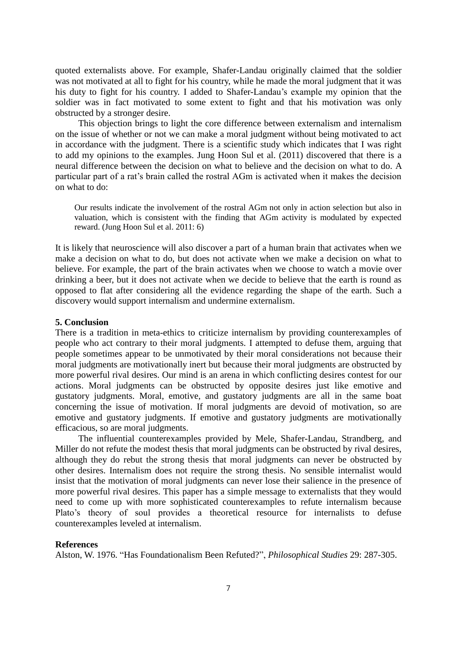quoted externalists above. For example, Shafer-Landau originally claimed that the soldier was not motivated at all to fight for his country, while he made the moral judgment that it was his duty to fight for his country. I added to Shafer-Landau's example my opinion that the soldier was in fact motivated to some extent to fight and that his motivation was only obstructed by a stronger desire.

This objection brings to light the core difference between externalism and internalism on the issue of whether or not we can make a moral judgment without being motivated to act in accordance with the judgment. There is a scientific study which indicates that I was right to add my opinions to the examples. Jung Hoon Sul et al. (2011) discovered that there is a neural difference between the decision on what to believe and the decision on what to do. A particular part of a rat's brain called the rostral AGm is activated when it makes the decision on what to do:

Our results indicate the involvement of the rostral AGm not only in action selection but also in valuation, which is consistent with the finding that AGm activity is modulated by expected reward. (Jung Hoon Sul et al. 2011: 6)

It is likely that neuroscience will also discover a part of a human brain that activates when we make a decision on what to do, but does not activate when we make a decision on what to believe. For example, the part of the brain activates when we choose to watch a movie over drinking a beer, but it does not activate when we decide to believe that the earth is round as opposed to flat after considering all the evidence regarding the shape of the earth. Such a discovery would support internalism and undermine externalism.

### **5. Conclusion**

There is a tradition in meta-ethics to criticize internalism by providing counterexamples of people who act contrary to their moral judgments. I attempted to defuse them, arguing that people sometimes appear to be unmotivated by their moral considerations not because their moral judgments are motivationally inert but because their moral judgments are obstructed by more powerful rival desires. Our mind is an arena in which conflicting desires contest for our actions. Moral judgments can be obstructed by opposite desires just like emotive and gustatory judgments. Moral, emotive, and gustatory judgments are all in the same boat concerning the issue of motivation. If moral judgments are devoid of motivation, so are emotive and gustatory judgments. If emotive and gustatory judgments are motivationally efficacious, so are moral judgments.

The influential counterexamples provided by Mele, Shafer-Landau, Strandberg, and Miller do not refute the modest thesis that moral judgments can be obstructed by rival desires, although they do rebut the strong thesis that moral judgments can never be obstructed by other desires. Internalism does not require the strong thesis. No sensible internalist would insist that the motivation of moral judgments can never lose their salience in the presence of more powerful rival desires. This paper has a simple message to externalists that they would need to come up with more sophisticated counterexamples to refute internalism because Plato's theory of soul provides a theoretical resource for internalists to defuse counterexamples leveled at internalism.

#### **References**

Alston, W. 1976. "Has Foundationalism Been Refuted?", *Philosophical Studies* 29: 287-305.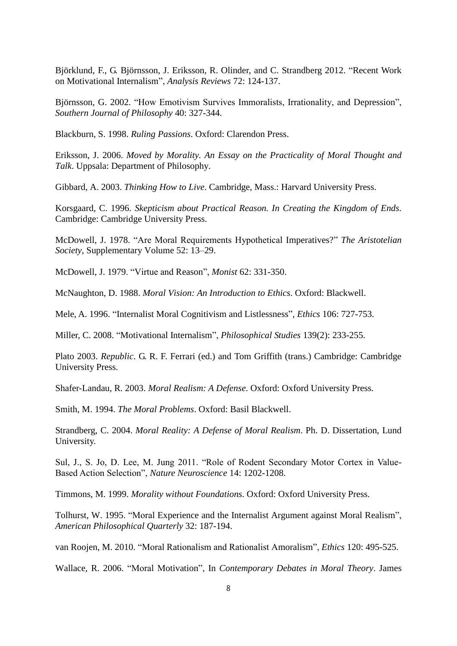Björklund, F., G. Björnsson, J. Eriksson, R. Olinder, and C. Strandberg 2012. "Recent Work on Motivational Internalism", *Analysis Reviews* 72: 124-137.

Björnsson, G. 2002. "How Emotivism Survives Immoralists, Irrationality, and Depression", *Southern Journal of Philosophy* 40: 327-344.

Blackburn, S. 1998. *Ruling Passions*. Oxford: Clarendon Press.

Eriksson, J. 2006. *Moved by Morality. An Essay on the Practicality of Moral Thought and Talk*. Uppsala: Department of Philosophy.

Gibbard, A. 2003. *Thinking How to Live*. Cambridge, Mass.: Harvard University Press.

Korsgaard, C. 1996. *Skepticism about Practical Reason. In Creating the Kingdom of Ends*. Cambridge: Cambridge University Press.

McDowell, J. 1978. "Are Moral Requirements Hypothetical Imperatives?" *The Aristotelian Society*, Supplementary Volume 52: 13–29.

McDowell, J. 1979. "Virtue and Reason", *Monist* 62: 331-350.

McNaughton, D. 1988. *Moral Vision: An Introduction to Ethics*. Oxford: Blackwell.

Mele, A. 1996. "Internalist Moral Cognitivism and Listlessness", *Ethics* 106: 727-753.

Miller, C. 2008. "Motivational Internalism", *Philosophical Studies* 139(2): 233-255.

Plato 2003. *Republic*. G. R. F. Ferrari (ed.) and Tom Griffith (trans.) Cambridge: Cambridge University Press.

Shafer-Landau, R. 2003. *Moral Realism: A Defense*. Oxford: Oxford University Press.

Smith, M. 1994. *The Moral Problems*. Oxford: Basil Blackwell.

Strandberg, C. 2004. *Moral Reality: A Defense of Moral Realism*. Ph. D. Dissertation, Lund University.

Sul, J., S. Jo, D. Lee, M. Jung 2011. "Role of Rodent Secondary Motor Cortex in Value-Based Action Selection", *Nature Neuroscience* 14: 1202-1208.

Timmons, M. 1999. *Morality without Foundations*. Oxford: Oxford University Press.

Tolhurst, W. 1995. "Moral Experience and the Internalist Argument against Moral Realism", *American Philosophical Quarterly* 32: 187-194.

van Roojen, M. 2010. "Moral Rationalism and Rationalist Amoralism", *Ethics* 120: 495-525.

Wallace, R. 2006. "Moral Motivation", In *Contemporary Debates in Moral Theory*. James